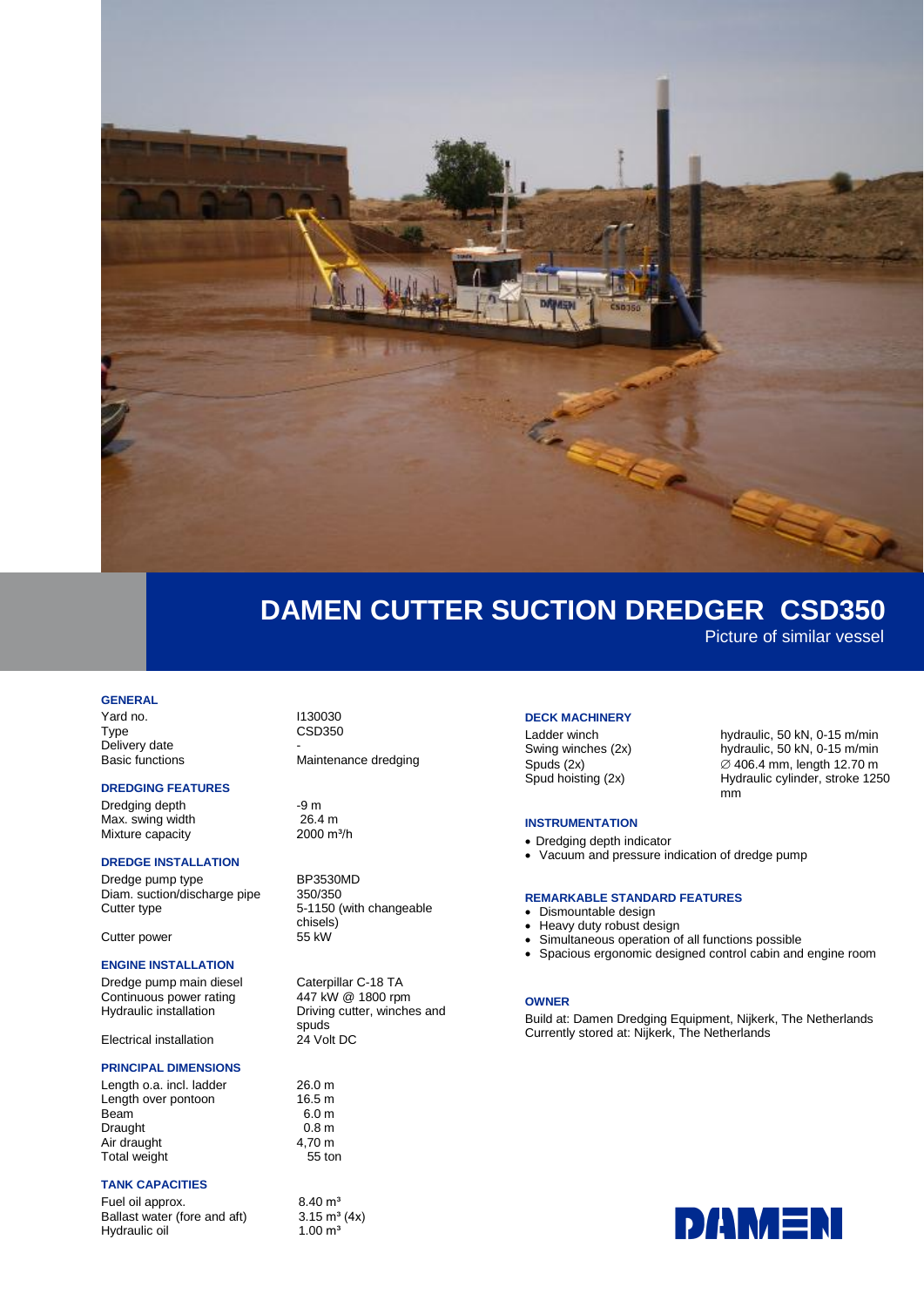

## **DAMEN CUTTER SUCTION DREDGER CSD350**

Picture of similar vessel

#### **GENERAL**

Yard no. 1130030 Type CSD350 Delivery date

### **DREDGING FEATURES**

Dredging depth -9 m<br>
Max. swing width 26.4 m Max. swing width  $26.4 \text{ m}$ <br>Mixture capacity 2000 m<sup>3/h</sup> Mixture capacity

#### **DREDGE INSTALLATION**

Dredge pump type BP3530MD<br>Diam. suction/discharge pipe 350/350 Diam. suction/discharge pipe Cutter type  $5-1150$  (with changeable

Cutter power

## **ENGINE INSTALLATION**

Dredge pump main diesel Caterpillar C-18 TA Continuous power rating and the 447 kW @ 1800 rpm<br>Hydraulic installation briving cutter, winche

**Electrical installation** 

## **PRINCIPAL DIMENSIONS**

Length o.a. incl. ladder 26.0 m<br>
l ength over pontoon 16.5 m Length over pontoon Beam 6.0 m<br>Draught 6.0 m<br>0.8 m Draught 0.8 m<br>Air draught 1.70 m Air draught Total weight 65 ton

## **TANK CAPACITIES**

Fuel oil approx.  $8.40 \text{ m}^3$ <br>Ballast water (fore and aft)  $3.15 \text{ m}^3 (4x)$ Ballast water (fore and aft)  $3.15 \text{ m}^3$ <br>Hydraulic oil  $1.00 \text{ m}^3$ Hydraulic oil

Basic functions Maintenance dredging

chisels)<br>55 kW

Driving cutter, winches and spuds<br>24 Volt DC

#### **DECK MACHINERY**

Ladder winch hydraulic, 50 kN, 0-15 m/min Swing winches (2x) hydraulic, 50 kN, 0-15 m/min Spuds  $(2x)$   $\oslash$  406.4 mm, length 12.70 m Spud hoisting (2x) Hydraulic cylinder, stroke 1250

#### **INSTRUMENTATION**

- Dredging depth indicator
- Vacuum and pressure indication of dredge pump

#### **REMARKABLE STANDARD FEATURES**

- Dismountable design
- Heavy duty robust design
- Simultaneous operation of all functions possible
- Spacious ergonomic designed control cabin and engine room

mm

#### **OWNER**

Build at: Damen Dredging Equipment, Nijkerk, The Netherlands Currently stored at: Nijkerk, The Netherlands